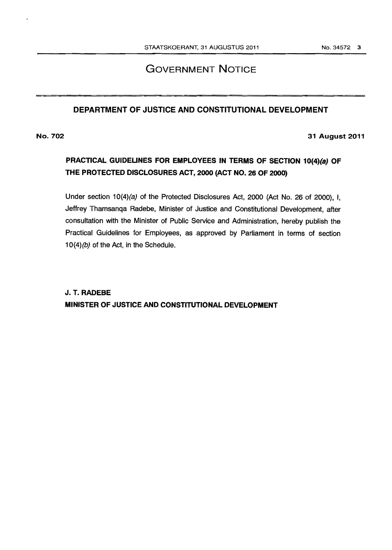## GOVERNMENT NOTICE

### DEPARTMENT OF JUSTICE AND CONSTITUTIONAL DEVELOPMENT

No. 702

31 August 2011

## PRACTICAL GUIDELINES FOR EMPLOYEES IN TERMS OF SECTION 10(4)(a) OF THE PROTECTED DISCLOSURES ACT, 2000 (ACT NO. 26 OF 2000)

Under section 10(4)(a) of the Protected Disclosures Act, 2000 (Act No. 26 of 2000), I, Jeffrey Thamsanqa Radebe, Minister of Justice and Constitutional Development, after consultation with the Minister of Public Service and Administration, hereby publish the Practical Guidelines for Employees, as approved by Parliament in terms of section 10(4)(b) of the Act, in the Schedule.

J. T. RADEBE MINISTER OF JUSTICE AND CONSTITUTIONAL DEVELOPMENT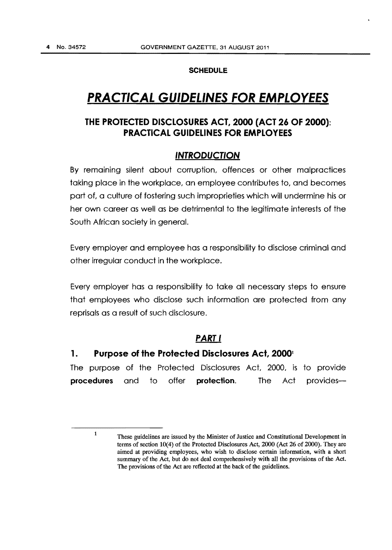#### **SCHEDULE**

# **PRACTICAL GUIDELINES FOR EMPLOYEES**

## **THE PROTECTED DISCLOSURES ACT, 2000 (ACT** *26* **OF 2000): PRACTICAL GUIDELINES FOR EMPLOYEES**

### **INTRODUCTION**

By remaining silent about corruption, offences or other malpractices taking place in the workplace, an employee contributes to, and becomes part of, a culture of fostering such improprieties which will undermine his or her own career as well as be detrimental to the legitimate interests of the South African society in general.

Every employer and employee has a responsibility to disclose criminal and other irregular conduct in the workplace.

Every employer has a responsibility to take all necessary steps to ensure that employees who disclose such information are protected from any reprisals as a result of such disclosure.

### **PART I**

### **1. Purpose of the Protected Disclosures Act, 2000<sup>1</sup>**

The purpose of the Protected Disclosures Act, 2000, is to provide **procedures** and to offer **protection.** The Act provides-

<sup>1</sup> These guidelines are issued by the Minister of Justice and Constitutional Development in terms of section  $10(4)$  of the Protected Disclosures Act,  $2000$  (Act  $26$  of  $2000$ ). They are aimed at providing employees, who wish to disclose certain information, with a short summary of the Act, but do not deal comprehensively with all the provisions of the Act. The provisions of the Act are reflected at the back of the guidelines.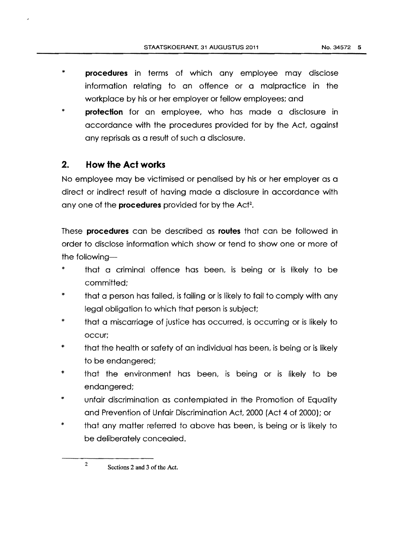\* **protection** for an employee, who has made a disclosure in accordance with the procedures provided for by the Act, against any reprisals as a result of such a disclosure.

## **2. How the Act works**

No employee may be victimised or penalised by his or her employer as a direct or indirect result of having made a disclosure in accordance with any one of the **procedures** provided for by the Acf2.

These **procedures** can be described as **routes** that can be followed in order to disclose information which show or tend to show one or more of the following-

- \* that a criminal offence has been, is being or is likely to be committed;
- \* that a person has failed, is failing or is likely to fail to comply with any legal obligation to which that person is subject;
- \* that a miscarriage of justice has occurred, is occurring or is likely to occur;
- \* that the health or safety of an individual has been, is being or is likely to be endangered;
- \* that the environment has been, is being or is likely to be endangered;
- \* unfair discrimination as contemplated in the Promotion of Equality and Prevention of Unfair Discrimination Act, 2000 {Act 4 of 2000); or
- \* that any matter referred to above has been, is being or is likely to be deliberately concealed.

<sup>2</sup> Sections 2 and 3 of the Act.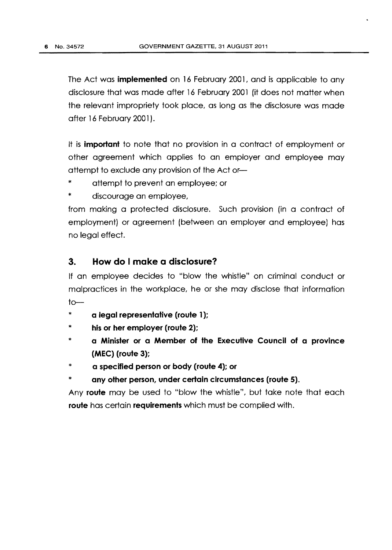The Act was **implemented** on 16 February 2001, and is applicable to any disclosure that was made after 16 February 2001 (it does not matter when the relevant impropriety took place, as long as the disclosure was made after 16 February 2001).

It is **important** to note that no provision in a contract of employment or other agreement which applies to an employer and employee may attempt to exclude any provision of the Act or- $-$ 

- \* attempt to prevent an employee; or
- \* discourage an employee,

from making a protected disclosure. Such provision (in a contract of employment) or agreement {between an employer and employee] has no legal effect.

### **3. How do I make a disclosure?**

If an employee decides to "blow the whistle" on criminal conduct or malpractices in the workplace, he or she may disclose that information  $to-$ 

- \* **a legal representative (route 1** );
- \* **his or her employer (route 2);**
- \* **a Minister or a Member of the Executive Council of a province (MEC) (route 3);**
- \* **a specified person or body (route 4); or**
- any other person, under certain circumstances (route 5).

Any **route** may be used to "blow the whistle", but take note that each **route** has certain **requirements** which must be complied with.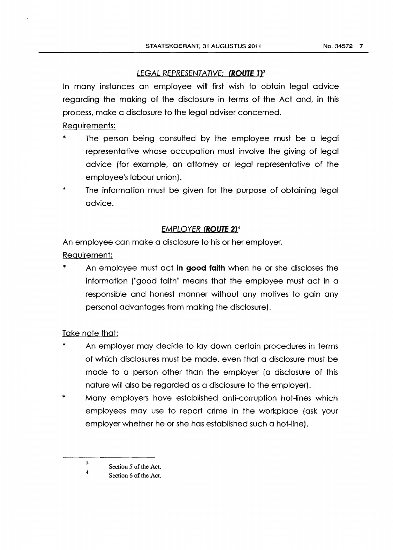### LEGAL REPRESENTATIVE: **(ROUTE J)<sup>3</sup>**

In many instances an employee will first wish to obtain legal advice regarding the making of the disclosure in terms of the Act and, in this process, make a disclosure to the legal adviser concerned.

Requirements:

- The person being consulted by the employee must be a legal representative whose occupation must involve the giving of legal advice (for example, an attorney or legal representative of the employee's labour union).
- The information must be given for the purpose of obtaining legal advice.

### **EMPLOYER (ROUTE 2)<sup>4</sup>**

An employee can make a disclosure to his or her employer.

### Requirement:

An employee must act **in good faith** when he or she discloses the information ("good faith" means that the employee must act in a responsible and honest manner without any motives to gain any personal advantages from making the disclosure).

### Take note that:

- \* An employer may decide to lay down certain procedures in terms of which disclosures must be made, even that a disclosure must be made to a person other than the employer (a disclosure of this nature will also be regarded as a disclosure to the employer).
- \* Many employers have established anti-corruption hot-lines which employees may use to report crime in the workplace (ask your employer whether he or she has established such a hot-line).

<sup>3</sup>  4 Section *5* of the Act.

Section 6 of the Act.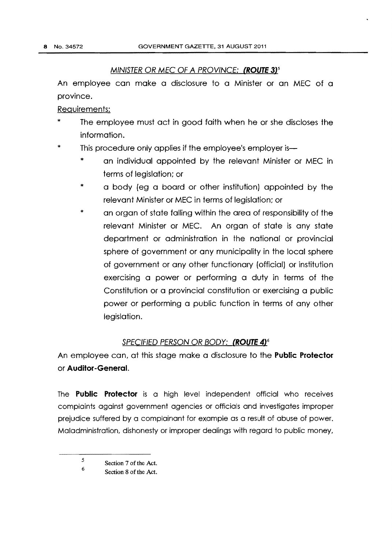### MINISTER OR MEC OF A PROVINCE: **(ROUTE 3)5**

An employee can make a disclosure to a Minister or an MEC of a province.

Requirements:

- The employee must act in good faith when he or she discloses the information.
- \* This procedure only applies if the employee's employer is-
	- \* an individual appointed by the relevant Minister or MEC in terms of legislation; or
	- \* a body {eg a board or other institution) appointed by the relevant Minister or MEC in terms of legislation; or
	- \* an organ of state falling within the area of responsibility of the relevant Minister or MEC. An organ of state is any state department or administration in the national or provincial sphere of government or any municipality in the local sphere of government or any other functionary (official) or institution exercising a power or performing a duty in terms of the Constitution or a provincial constitution or exercising a public power or performing a public function in terms of any other legislation.

### SPECIFIED PERSON OR BODY: **(ROUTE 4]6**

An employee can, at this stage make a disclosure to the **Public Protector**  or **Auditor-GeneraL** 

The **Public Protector** is a high level independent official who receives complaints against government agencies or officials and investigates improper prejudice suffered by a complainant for example as a result of abuse of power. Maladministration, dishonesty or improper dealings with regard to public money,

<sup>5</sup>  6 Section 7 of the Act.

Section 8 of the Act.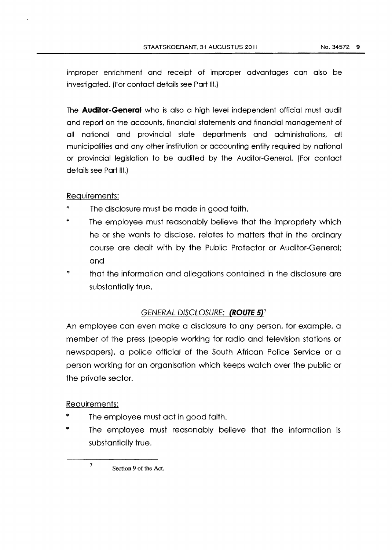improper enrichment and receipt of improper advantages can also be investigated. (For contact details see Part Ill.)

The **Auditor-General** who is also a high level independent official must audit and report on the accounts, financial statements and financial management of all national and provincial state departments and administrations, all municipalities and any other institution or accounting entity required by national or provincial legislation to be audited by the Auditor-General. (For contact details see Part Ill.)

### Requirements:

- The disclosure must be made in good faith.
- \* The employee must reasonably believe that the impropriety which he or she wants to disclose, relates to matters that in the ordinary course are dealt with by the Public Protector or Auditor-General; and
- \* that the information and allegations contained in the disclosure are substantially true.

### GENERAL DISCLOSURE: (ROUTE 5)<sup>7</sup>

An employee can even make a disclosure to any person, for example, a member of the press (people working for radio and television stations or newspapers), a police official of the South African Police Service or a person working for an organisation which keeps watch over the public or the private sector.

### Requirements:

- The employee must act in good faith.
- The employee must reasonably believe that the information is substantially true.

7 Section 9 of the Act.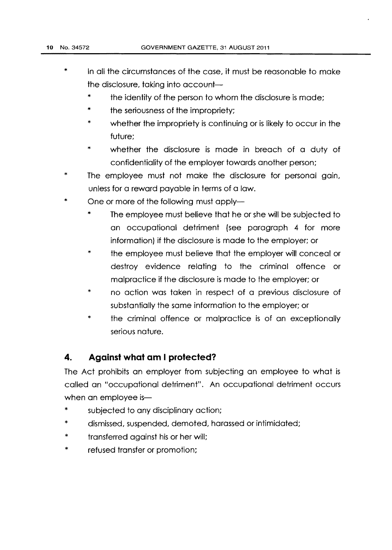- \* In all the circumstances of the case, it must be reasonable to make the disclosure, taking into account $-$ 
	- \* the identity of the person to whom the disclosure is made;
	- \* the seriousness of the impropriety;
	- \* whether the impropriety is continuing or is likely to occur in the future;
	- \* whether the disclosure is made in breach of a duty of confidentiality of the employer towards another person;
- \* The employee must not make the disclosure for personal gain, unless for a reward payable in terms of a law.
- \* One or more of the following must apply-
	- \* The employee must believe that he or she will be subjected to an occupational detriment {see paragraph 4 for more information} if the disclosure is made to the employer: or
	- \* the employee must believe that the employer will conceal or destroy evidence relating to the criminal offence or malpractice if the disclosure is made to the employer; or
	- \* no action was taken in respect of a previous disclosure of substantially the same information to the employer; or
	- \* the criminal offence or malpractice is of an exceptionally serious nature.

## **4. Against what am I protected?**

The Act prohibits an employer from subjecting an employee to what is called an "occupational detriment". An occupational detriment occurs when an employee is-

- subjected to any disciplinary action;
- \* dismissed, suspended, demoted, harassed or intimidated;
- \* transferred against his or her will;
- \* refused transfer or promotion;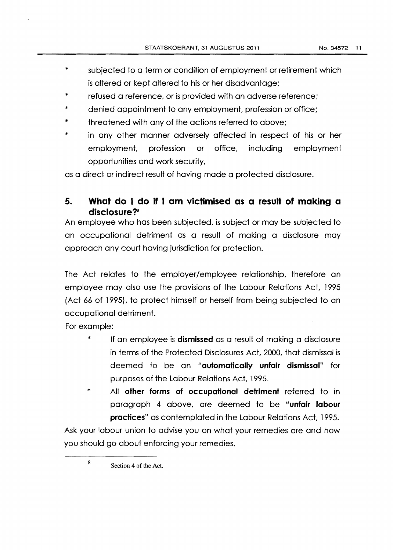- \* subjected to a term or condition of employment or retirement which is altered or kept altered to his or her disadvantage;
- \* refused a reference, or is provided with an adverse reference;
- \* denied appointment to any employment, profession or office;
- \* threatened with any of the actions referred to above;
- \* in any other manner adversely affected in respect of his or her employment, profession or office, including employment opportunities and work security,

as a direct or indirect result of having made a protected disclosure.

## **5. What do I do if I am victimised as a result of making a disclosure?s**

An employee who has been subjected, is subject or may be subjected to an occupational detriment as a result of making a disclosure may approach any court having jurisdiction for protection.

The Act relates to the employer/employee relationship, therefore an employee may also use the provisions of the Labour Relations Act, 1995 (Act 66 of 1995}, to protect himself or herself from being subjected to an occupational detriment.

For example:

- \* If an employee is **dismissed** as a result of making a disclosure in terms of the Protected Disclosures Act, 2000, that dismissal is deemed to be an **"automatically unfair dismissal"** for purposes of the Labour Relations Act, 1995.
- \* All **other forms of occupational detriment** referred to in paragraph 4 above, are deemed to be **"unfair labour practices"** as contemplated in the Labour Relations Act, 1995.

Ask your labour union to advise you on what your remedies are and how you should go about enforcing your remedies.

8 Section 4 of the Act.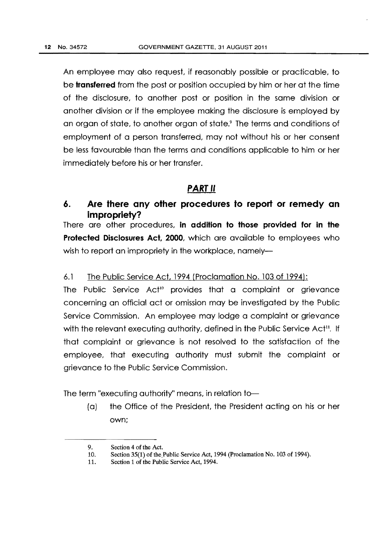An employee may also request, if reasonably possible or practicable, to be **transferred** from the post or position occupied by him or her at the time of the disclosure, to another post or position in the same division or another division or if the employee making the disclosure is employed by an organ of state, to another organ of state.<sup>9</sup> The terms and conditions of employment of a person transferred, may not without his or her consent be less favourable than the terms and conditions applicable to him or her immediately before his or her transfer.

## **PART II**

## **6. Are there any other procedures to report or remedy an impropriety?**

There are other procedures, **in addition to those provided for in the Protected Disclosures Act, 2000,** which are available to employees who wish to report an impropriety in the workplace, namely-

### 6.1 The Public Service Act, 1994 (Proclamation No. 103 of 1994):

The Public Service Act<sup>10</sup> provides that a complaint or grievance concerning an official act or omission may be investigated by the Public Service Commission. An employee may lodge a complaint or grievance with the relevant executing authority, defined in the Public Service  $Act^{11}$ . If that complaint or grievance is not resolved to the satisfaction of the employee, that executing authority must submit the complaint or grievance to the Public Service Commission.

The term "executing authority" means, in relation to-

(a) the Office of the President, the President acting on his or her own:

<sup>9.</sup> Section 4 of the Act.

<sup>10.</sup> Section 35(1) of the Public Service Act, 1994 (Proclamation No. 103 of 1994).

<sup>11.</sup> Section 1 of the Public Service Act, 1994.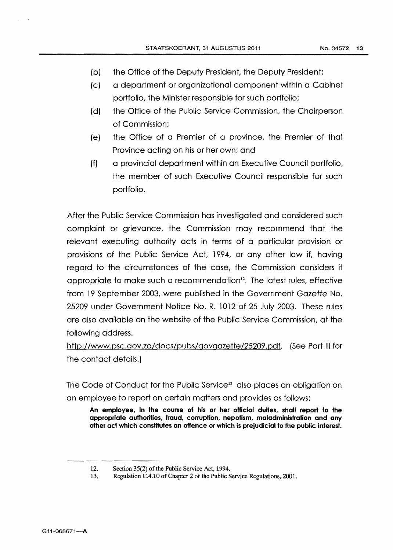- (b) the Office of the Deputy President, the Deputy President;
- {c) a department or organizational component within a Cabinet portfolio, the Minister responsible for such portfolio;
- (d) the Office of the Public Service Commission, the Chairperson of Commission:
- {e) the Office of a Premier of a province, the Premier of that Province acting on his or her own; and
- (f) a provincial department within an Executive Council portfolio, the member of such Executive Council responsible for such portfolio.

After the Public Service Commission has investigated and considered such complaint or grievance, the Commission may recommend that the relevant executing authority acts in terms of a particular provision or provisions of the Public Service Act, 1994, or any other law if, having regard to the circumstances of the case, the Commission considers it appropriate to make such a recommendation $12$ . The latest rules, effective from 19 September 2003, were published in the Government Gazette No. 25209 under Government Notice No. R. 1012 of 25 July 2003. These rules are also available on the website of the Public Service Commission, at the following address.

http://www.psc.gov.za/docs/pubs/govgazette/25209.pdf. (See Part III for the contact details.)

The Code of Conduct for the Public Service<sup>13</sup> also places an obligation on an employee to report on certain matters and provides as follows:

**An employee, In the course of his or her official duties, shall report to the appropriate authorities, fraud, corrupHon, nepoHsm, maladministraHon and any other act which consHtutes an offence or which is prejudicial to the public interest.** 

<sup>12.</sup> Section 35(2) of the Public Service Act, 1994.<br>13. Regulation C.4.10 of Chapter 2 of the Public S

Regulation C.4.10 of Chapter 2 of the Public Service Regulations, 2001.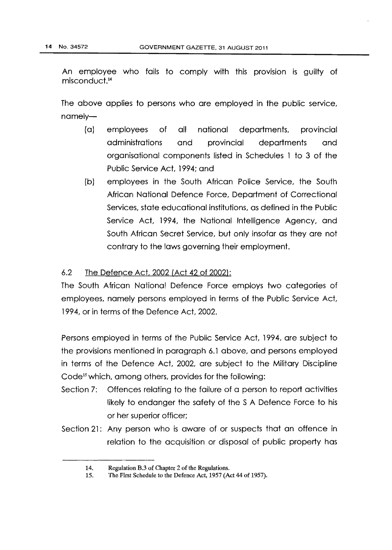An employee who fails to comply with this provision is guilty of  $mis$ conduct. $14$ 

The above applies to persons who are employed in the public service, namely-

- { a) employees of all national departments, provincial administrations and provincial departments and organisational components listed in Schedules 1 to 3 of the Public Service Act, 1994; and
- (b) employees in the South African Police Service, the South African National Defence Force, Department of Correctional Services, state educational institutions, as defined in the Public Service Act, 1994, the National Intelligence Agency, and South African Secret Service, but only insofar as they are not contrary to the laws governing their employment.

### 6.2 The Defence Act, 2002 (Act 42 of 2002):

The South African National Defence Force employs two categories of employees, namely persons employed in terms of the Public Service Act, 1994, or in terms of the Defence Act, 2002.

Persons employed in terms of the Public Service Act, 1994, are subject to the provisions mentioned in paragraph 6.1 above, and persons employed in terms of the Defence Act, 2002, are subject to the Military Discipline Code<sup>15</sup> which, among others, provides for the following:

- Section 7: Offences relating to the failure of a person to report activities likely to endanger the safety of the S A Defence Force to his or her superior officer;
- Section 21: Any person who is aware of or suspects that an offence in relation to the acquisition or disposal of public property has

<sup>14.</sup> Regulation B.3 of Chapter 2 of the Regulations.

<sup>15.</sup> The First Schedule to the Defence Act, 1957 (Act 44 of 1957).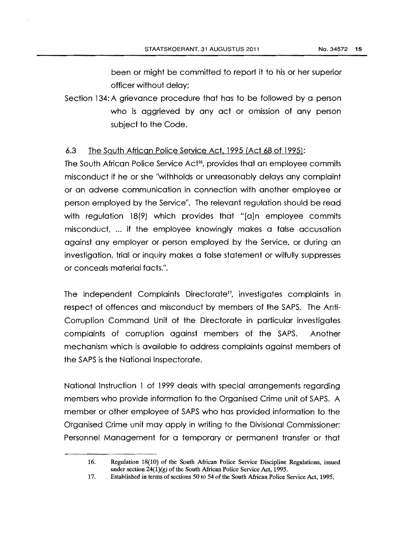been or might be committed to report it to his or her superior officer without delay;

Section 134: A grievance procedure that has to be followed by a person who is aggrieved by any act or omission of any person subject to the Code.

### 6.3 The South African Police Service Act, 1995 {Act 68 of 1995):

The South African Police Service Act<sup>16</sup>, provides that an employee commits misconduct if he or she "withholds or unreasonably delays any complaint or an adverse communication in connection with another employee or person employed by the Service". The relevant regulation should be read with regulation 18(9) which provides that "[a]n employee commits misconduct, ... if the employee knowingly makes a false accusation against any employer or person employed by the Service, or during an investigation, tridl or inquiry makes a false statement or wilfully suppresses or conceals material facts.".

The Independent Complaints Directorate<sup>17</sup>, investigates complaints in respect of offences and misconduct by members of the SAPS. The Anti-Corruption Command Unit of the Directorate in particular investigates complaints of corruption against members of the SAPS. Another mechanism which is available to address complaints against members of the SAPS is the National Inspectorate.

National Instruction 1 of 1999 deals with special arrangements regarding members who provide information to the Organised Crime unit of SAPS. A member or other employee of SAPS who has provided information to the Organised Crime unit may apply in writing to the Divisional Commissioner: Personnel Management for a temporary or permanent transfer or that

<sup>16.</sup> Regulation 18(10) of the South African Police Service Discipline Regulations, issued under section  $24(1)(g)$  of the South African Police Service Act, 1995.

<sup>17.</sup> Established in terms of sections 50 to 54 of the South African Police Service Act, 1995.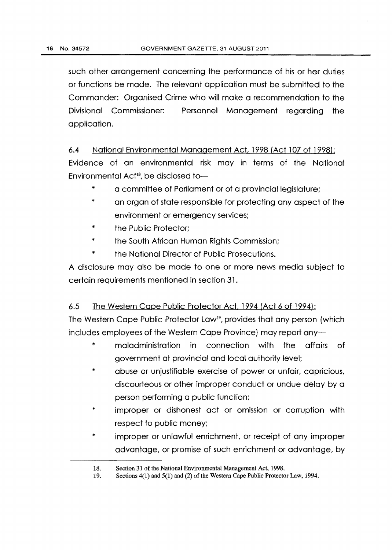such other arrangement concerning the performance of his or her duties or functions be made. The relevant application must be submitted to the Commander: Organised Crime who will make a recommendation to the Divisional Commissioner: Personnel Management regarding the application.

6.4 National Environmental Management Act, 1998 (Act 107 of 1998}: Evidence of an environmental risk may in terms of the National Environmental Act<sup>18</sup>, be disclosed to-

- \* a committee of Parliament or of a provincial legislature;
- \* an organ of state responsible for protecting any aspect of the environment or emergency services;
- \* the Public Protector;
- \* the South African Human Rights Commission;
- \* the National Director of Public Prosecutions.

A disclosure may also be made to one or more news media subject to certain requirements mentioned in sedion 31.

## 6.5 The Western Cape Public Protector Act. 1994 (Act 6 of 1994):

The Western Cape Public Protector Law<sup>19</sup>, provides that any person (which includes employees of the Western Cape Province) may report any-

- maladministration in connection with the affairs of government at provincial and local authority level;
- \* abuse or unjustifiable exercise of power or unfair, capricious, discourteous or other improper conduct or undue delay by a person performing a public function;
- \* improper or dishonest act or omission or corruption with respect to public money;
- \* improper or unlawful enrichment, or receipt of any improper advantage, or promise of such enrichment or advantage, by

<sup>18.</sup>  Section 31 of the National Environmental Management Act, 1998.

<sup>19.</sup>  Sections 4(1) and 5(1) and (2) of the Western Cape Public Protector Law, 1994.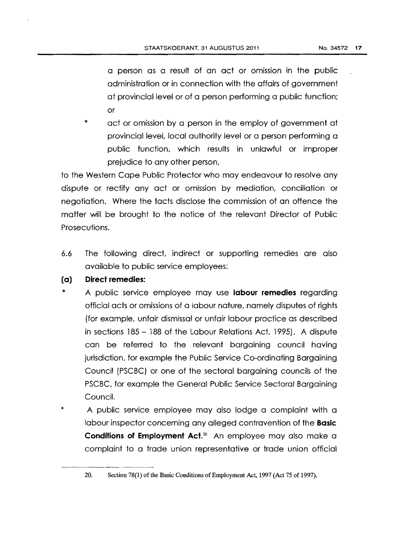a person as a result of an act or omission in the public administration or in connection with the affairs of government at provincial level or of a person performing a public function; or

\* act or omission by a person in the employ of government at provincial level, local authority level or a person performing a public function, which results in unlawful or improper prejudice to any other person,

to the Western Cape Public Protector who may endeavour to resolve any dispute or rectify any act or omission by mediation, conciliation or negotiation. Where the facts disclose the commission of an offence the matter will be brought to the notice of the relevant Director of Public Prosecutions.

6.6 The following direct, indirect or supporting remedies are also available to public service employees:

#### **(a) Direct remedies:**

- \* A public service employee may use **labour remedies** regarding official acts or omissions of a labour nature, namely disputes of rights (for example, unfair dismissal or unfair labour practice as described in sections 185 - 188 of the Labour Relations Act, 1995). A dispute can be referred to the relevant bargaining council having jurisdiction, for example the Public Service Co-ordinating Bargaining Council (PSCBC) or one of the sectoral bargaining councils of the PSCBC, for example the General Public Service Sectoral Bargaining Council.
- \* A public service employee may also lodge a complaint with a labour inspector concerning any alleged contravention of the **Basic Conditions of Employment Act.<sup>20</sup>** An employee may also make a complaint to a trade union representative or trade union official

<sup>20.</sup> Section 78(1) of tbe Basic Conditions of Employment Act, 1997 (Act 75 of 1997).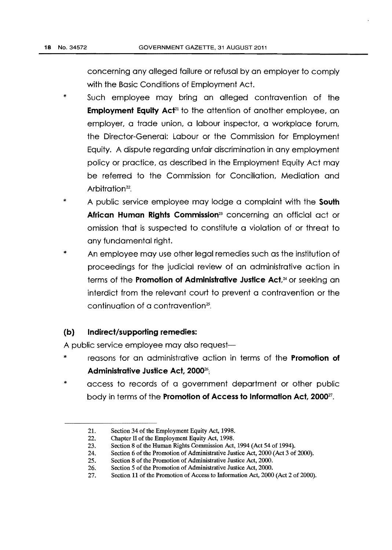concerning any alleged failure or refusal by an employer to comply with the Basic Conditions of Employment Act.

- \* Such employee may bring an alleged contravention of the **Employment Equity Act<sup>21</sup>** to the attention of another employee, an employer, a trade union, a labour inspector, a workplace forum, the Director-General: Labour or the Commission for Employment Equity. A dispute regarding unfair discrimination in any employment policy or practice, as described in the Employment Equity Act may be referred to the Commission for Conciliation, Mediation and Arbitration<sup>22</sup>
- \* A public service employee may lodge a complaint with the **South African Human Rights Commission23** concerning an official act or omission that is suspected to constitute a violation of or threat to any fundamental right.
- \* An employee may use other legal remedies such as the institution of proceedings for the judicial review of an administrative action in terms of the **Promotion of Administrative Justice Act,24** or seeking an interdict from the relevant court to prevent a contravention or the continuation of a contravention $25$ .

### **(b) Indirect/supporting remedies:**

A public service employee may also request-

- \* reasons for an administrative action in terms of the **Promotion of Administrative Justice Act, 200026;**
- access to records of a government department or other public body in terms of the **Promotion of Access to Information Act, 2000**<sup>27</sup>.

<sup>21.</sup> Section 34 of the Employment Equity Act, 1998.

<sup>22.</sup> Chapter II of the Employment Equity Act, 1998.

<sup>23.</sup> Section 8 of the Human Rights Commission Act, 1994 (Act 54 of 1994).

<sup>24.</sup> Section 6 of the Promotion of Administrative Justice Act, 2000 (Act 3 of 2000).

<sup>25.</sup> Section 8 of the Promotion of Administrative Justice Act, 2000.

<sup>26.</sup> Section 5 of the Promotion of Administrative Justice Act, 2000.

<sup>27.</sup> Section 11 of the Promotion of Access to Information Act, 2000 (Act 2 of 2000).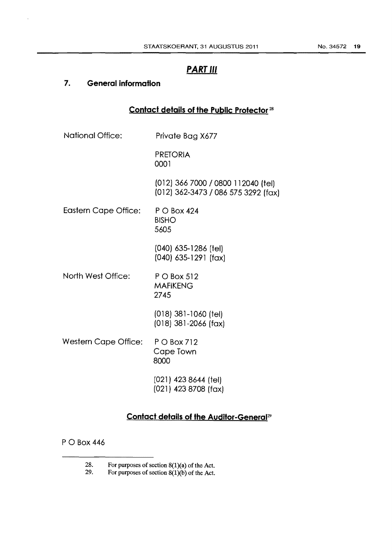## **PART Ill**

## **7. General information**

## **Contact details of the Public Protector** <sup>28</sup>

| <b>National Office:</b>     | Private Bag X677                                                          |
|-----------------------------|---------------------------------------------------------------------------|
|                             | <b>PRETORIA</b><br>0001                                                   |
|                             | (012) 366 7000 / 0800 112040 (fel)<br>(012) 362-3473 / 086 575 3292 (fax) |
| <b>Eastern Cape Office:</b> | P O Box 424<br><b>BISHO</b><br>5605                                       |
|                             | (040) 635-1286 (tel)<br>$(040)$ 635-1291 (fax)                            |
| North West Office:          | P O Box 512<br><b>MAFIKENG</b><br>2745                                    |
|                             | $(018)$ 381-1060 (tel)<br>$(018)$ 381-2066 (fax)                          |
| <b>Western Cape Office:</b> | P O Box 712<br>Cape Town<br>8000                                          |
|                             | $(021)$ 423 8644 (tel)<br>(021) 423 8708 (fax)                            |

## **Contact details of the Auditor-General<sup>29</sup>**

P 0 Box 446

<sup>28.</sup> For purposes of section  $8(1)(a)$  of the Act.<br>29. For purposes of section  $8(1)(b)$  of the Act.

For purposes of section  $8(1)(b)$  of the Act.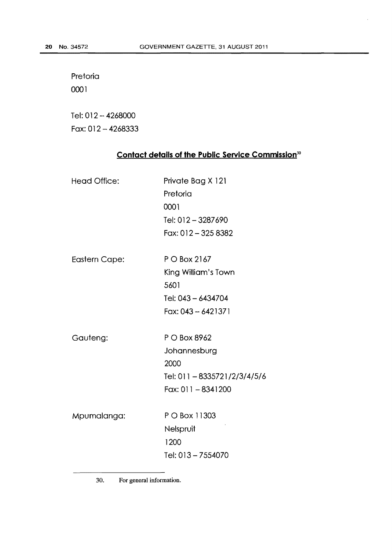Pretoria 0001

Tel: 012-4268000 Fax: 012 - 4268333

## **Contact details of the Public Service Commission<sup>30</sup>**

| <b>Head Office:</b>  | Private Bag X 121<br>Pretoria |
|----------------------|-------------------------------|
|                      | 0001                          |
|                      | Tel: 012-3287690              |
|                      | Fax: 012 - 325 8382           |
| <b>Eastern Cape:</b> | P O Box 2167                  |
|                      | King William's Town           |
|                      | 5601                          |
|                      | Tel: 043 - 6434704            |
|                      | Fax: 043 - 6421371            |
| Gauteng:             | P O Box 8962                  |
|                      | Johannesburg                  |
|                      | 2000                          |
|                      | Tel: 011 - 8335721/2/3/4/5/6  |
|                      | $F$ ax: 011 - 8341200         |
| Mpumalanga:          | P O Box 11303                 |
|                      | Nelspruit                     |
|                      | 1200                          |
|                      | Tel: 013 - 7554070            |
|                      |                               |

30. For general information.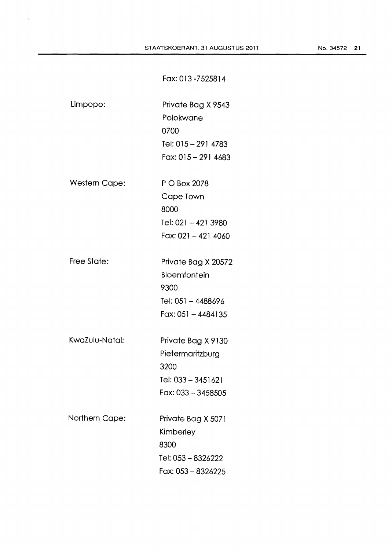Fax:013-7525814

| Limpopo:             | Private Bag X 9543<br>Polokwane<br>0700<br>Tel: 015 - 291 4783<br>Fax: 015 - 291 4683      |
|----------------------|--------------------------------------------------------------------------------------------|
| <b>Western Cape:</b> | P O Box 2078<br>Cape Town<br>8000<br>Tel: 021 - 421 3980<br>$F$ ax: 021 - 421 4060         |
| Free State:          | Private Bag X 20572<br>Bloemfontein<br>9300<br>Tel: 051 - 4488696<br>Fax: 051 - 4484135    |
| KwaZulu-Natal:       | Private Bag X 9130<br>Pietermaritzburg<br>3200<br>Tel: 033 - 3451621<br>Fax: 033 - 3458505 |
| Northern Cape:       | Private Bag X 5071<br>Kimberley<br>8300<br>Tel: 053 - 8326222<br>Fax: 053 - 8326225        |

 $\bar{\mathcal{A}}$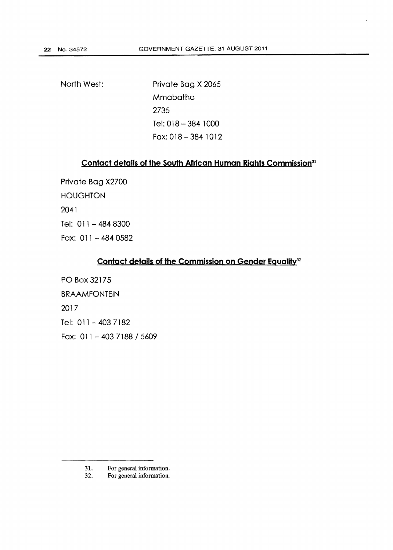North West:

Private Bag X 2065 Mmabatho 2735 Tel: 018-384 1000 Fax: 018-384 1012

## **Contact details of the South African Human Rights Commission<sup>31</sup>**

Private Bag X2700 **HOUGHTON** 2041 Tel: 011 - 484 8300 Fax:  $011 - 4840582$ 

## **Contact details of the Commission on Gender Egualitv<sup>32</sup>**

PO Box 32175 BRAAMFONTEIN 2017 Tel: 011 - 403 7182 Fax: 011 - 403 7188 / 5609

<sup>31.</sup> For general information.

<sup>32.</sup> For general information.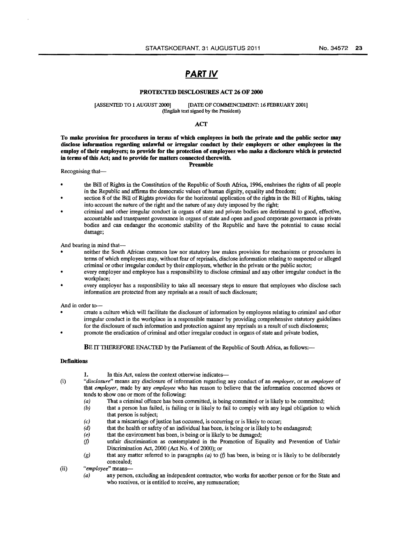## **PART** IV

#### PROTECTED DISCLOSURES ACT 26 OF 2000

#### [ASSENTED TO 1 AUGUST 2000] [DATE OF COMMENCEMENT: 16 FEBRUARY 2001] (English text signed by the President)

#### **ACT**

To make provision for procedures in terms of which employees in both the private and the public sector may disclose information regarding unlawful or irregular conduct by their employers or other employees in the employ of their employers; to provide for the protection of employees who make a disclosure which is protected in terms of this Act; and to provide for matters connected therewith. Preamble

#### Recognising that-

- the Bill of Rights in the Constitution of the Republic of South Africa, 1996, enshrines the rights of all people in the Republic and affirms the democratic values of human dignity, equality and freedom;
- section 8 of the Bill of Rights provides for the horizontal application of the rights in the Bill of Rights, taking into account the nature of the right and the nature of any duty imposed by the right;
- criminal and other irregular conduct in organs of state and private bodies are detrimental to good, effective, accountable and transparent governance in organs of state and open and good corporate governance in private bodies and can endanger the economic stability of the Republic and have the potential to cause social damage;

And bearing in mind that-

- neither the South African common law nor statutory law makes provision for mechanisms or procedures in terms of which employees may, without fear of reprisals, disclose information relating to suspected or alleged criminal or other irregular conduct by their employers, whether in the private or the public sector;
- every employer and employee has a responsibility to disclose criminal and any other irregular conduct in the workplace;
- every employer has a responsibility to take all necessary steps to ensure that employees who disclose such information are protected from any reprisals as a result of such disclosure;

And in order to-

- create a culture which will facilitate the disclosure of information by employees relating to criminal and other irregular conduct in the workplace in a responsible manner by providing comprehensive statutory guidelines for the disclosure of such information and protection against any reprisals as a result of such disclosures;
- promote the eradication of criminal and other irregular conduct in organs of state and private bodies,

BE IT THEREFORE ENACTED by the Parliament of the Republic of South Africa, as follows:-

#### **Definitions**

- 
- 1. In this Act, unless the context otherwise indicates-
- (i) *"disclosure"* means any disclosure of information regarding any conduct of an *employer,* or an *employee* of that *employer,* made by any *employee* who has reason to believe that the information concerned shows or tends to show one or more of the following:
	- (a) That a criminal offence has been committed, is being committed or is likely to be committed;<br>(b) that a person has failed, is failing or is likely to fail to comply with any legal obligation to
	- that a person has failed, is failing or is likely to fail to comply with any legal obligation to which that person is subject;
	- (c) that a miscarriage of justice has occurred, is occurring or is likely to occur;  $(d)$  that the health or safety of an individual has been, is being or is likely to be
	- that the health or safety of an individual has been, is being or is likely to be endangered;
	- (e) that the environment bas been, is being or is likely to be damaged;
	- *(f)* unfair discrimination as contemplated in the Promotion of Equality and Prevention of Unfair Discrimination Act, 2000 (Act No.4 of 2000); or
	- $(g)$  that any matter referred to in paragraphs (a) to  $(f)$  has been, is being or is likely to be deliberately concealed;
- (ii) *"employee"* means-
	- (a) any person, excluding an independent contractor, who works for another person or for the State and who receives, or is entitled to receive, any remuneration;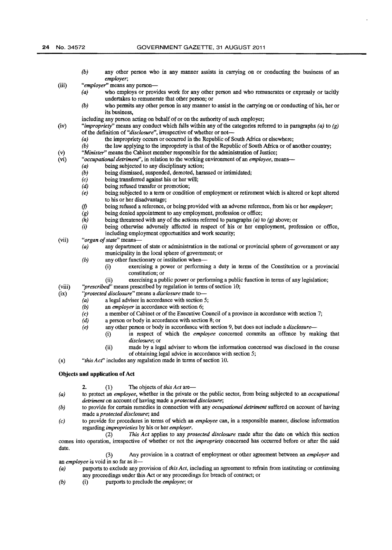- (b) any other person who in any manner assists in carrying on or conducting the business of an *employer;*
- (iii) *"employer"* means any person-<br>(a) who employs or prov
	- who employs or provides work for any other person and who remunerates or expressly or tacitly undertakes to remunerate that other person; or
	- (b) who permits any other person in any manner to assist in the carrying on or conducting of his, her or its business,

including any person acting on behalf of or on the authority of such employer;

- (iv) *"impropriety"* means any conduct which falls within any of the categories referred to in paragraphs *(a)* to *(g)*  of the definition of *"disclosure"*, irrespective of whether or not-<br>(a) the impropriety occurs or occurred in the Republic of
	- the impropriety occurs or occurred in the Republic of South Africa or elsewhere;
	- (b) the law applying to the impropriety is that of the Republic of South Africa or of another country;
- (v) *"Minister"* means the Cabinet member responsible for the administration of Justice;<br>(vi) *"occupational detriment"*, in relation to the working environment of an *employee*, m
	- "*occupational detriment*", in relation to the working environment of an *employee*, means--
		- (a) being subjected to any disciplinary action;<br>(b) being dismissed, suspended, demoted, hara
			- (b) being dismissed, suspended, demoted, harassed or intimidated;  $(c)$  being transferred against his or her will;
			- *(c)* being transferred against his or her will;<br>*(d)* being refused transfer or promotion;
			- being refused transfer or promotion;
			- (e) being subjected to a term or condition of employment or retirement which is altered or kept altered to his or her disadvantage;
			- *(j)* being refused a reference, or being provided with an adverse reference, from his or her *employer;*
			- being denied appointment to any employment, profession or office;
			- (h) being threatened with any of the actions referred to paragraphs (a) to *(g)* above; or
			- (i) being otherwise adversely affected in respect of his or her employment, profession or office, including employment opportunities and work security;
- (vii) *"organ of state"* means-
	- *(a)* any department of state or administration in the national or provincial sphere of government or any municipality in the local sphere of government; or
		- (b) any other functionary or institution when--
			- (i) exercising a power or performing a duty in terms of the Constitution or a provincial constitution; or
				- (ii) exercising a public power or performing a public function in terms of any legislation;
- (viii) *''prescribed"* means prescribed by regulation in terms of section 10;
- (ix) *''protected disclosure"* means a *disclosure* made to
	- a legal adviser in accordance with section 5;
	- *(b)* an *employer* in accordance with section 6;
	- (c) a member of Cabinet or of the Executive Council of a province in accordance with section 7;
	- *(d)* a person or body in accordance with section 8; or
	- *(e)* any other person or body in accordance with section 9, but does not include a *disclosure-*
		- (i) in respect of which the *employee* concerned commits an offence by making that *disclosure;* or
		- (ii) made by a legal adviser to whom the information concerned was disclosed in the course of obtaining legal advice in accordance with section 5;

(x) *"this Acf'* includes any regulation made in terms of section 10.

#### **Objects and application of Act**

- 2. (1) The objects of *this Act* are-
- *(a)* to protect an *employee,* whether in the private or the public sector, from being subjected to an *occupational detriment* on account of having made a *protected disclosure;*
- *(b)* to provide for certain remedies in connection with any *occupational detriment* suffered on account of having made a *protected disclosure;* and
- *(c)* to provide for procedures in terms of which an *employee* can, in a responsible manner, disclose information regarding *improprieties* by his or her *employer.*

(2) *This Act* applies to any *protected disclosure* made after the date on which this section comes into operation, irrespective of whether or not the *impropriety* concerned bas occurred before or after the said date.

(3) Any provision in a contract of employment or other agreement between an *employer* and an *employee* is void in so far as it-

- *( a)* purports to exclude any provision of *this Act,* including an agreement to refrain from instituting or continuing any proceedings under this Act or any proceedings for breach of contract; or
- *(b)* (i) purports to preclude the *employee;* or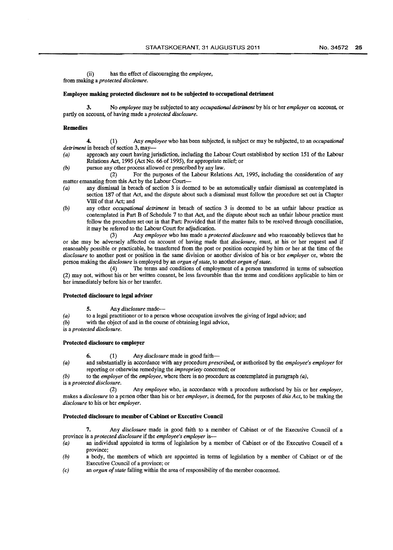(ii) has the effect of discouraging the *employee,*  from making a *protected disclosure.* 

#### Employee making protected disclosure not to be subjected to occupational detriment

3. No *employee* may be subjected to any *occupational detriment* by his or her *employer* on account, or partly on account, of having made a *protected disclosure.* 

#### Remedies

4. (1) Any *employee* who has been subjected, is subject or may be subjected, to an *occupational detriment* in breach of section 3, may-<br>(a) approach any court having j

- approach any court having jurisdiction, including the Labour Court established by section 151 of the Labour Relations Act, 1995 (Act No. 66 of 1995), for appropriate relief; or
- (b) pursue any other process allowed or prescribed by any law.<br>(2) For the numoses of the Labour Relation

For the purposes of the Labour Relations Act, 1995, including the consideration of any matter emanating from this Act by the Labour Court-

- (a) any dismissal in breach of section 3 is deemed to be an automatically unfair dismissal as contemplated in section 187 of that Act, and the dispute about such a dismissal must follow the procedure set out in Chapter VIII of that Act: and
- *(b)* any other *occupational detriment* in breach of section 3 is deemed to be an unfair labour practice as contemplated in Part B of Schedule 7 to that Act, and the dispute about such an unfair labour practice must follow the procedure set out in that Part: Provided that if the matter fails to be resolved through conciliation, it may be referred to the Labour Court for adjudication.<br>(3) Any *employee* who has made a *pro*.

(3) Any *employee* who has made a *protected disclosure* and who reasonably believes that he or she may be adversely affected on account of having made that *disclosure,* must, at his or her request and if reasonably possible or practicable, be transferred from the post or position occupied by him or her at the time of the *disclosure* to another post or position in the same division or another division of his or her *employer* or, where the person making the *disclosure* is employed by an *organ of state*, to another *organ of state*.<br>(4) The terms and conditions of employment of a person trans

The terms and conditions of employment of a person transferred in terms of subsection (2) may not, without his or her written consent, be less favourable than the terms and conditions applicable to him or her immediately before his or her transfer.

#### Protected disclosure to legal adviser

5. Any *disclosure* made--

- (a) to a legal practitioner or to a person whose occupation involves the giving of legal advice; and
- (b) with the object of and in the course of obtaining legal advice,

is a *protected disclosure.* 

#### Protected disclosure to employer

- 6. (1) Any *disclosure* made in good faith-
- *( a)* and substantially in accordance with any procedure *prescribed,* or authorised by the *employee's employer* for reporting or otherwise remedying the *impropriety* concerned; or

*(b)* to the *employer* of the *employee,* where there is no procedure as contemplated in paragraph *(a),*  is a *protected disclosure.* 

(2) Any *employee* who, in accordance with a procedure authorised by his or her *employer,*  makes a *disclosure* to a person other than his or her *employer,* is deemed, for the purposes of *this Act,* to be making the *disclosure* to his or her *employer.* 

#### Protected disclosure to member of Cabinet or Executive Council

7. Any *disclosure* made in good faith to a member of Cabinet or of the Executive Council of a province is a *protected disclosure* if the *employee's employer* is--

- (a) an individual appointed in terms of legislation by a member of Cabinet or of the Executive Council of a province;
- (b) a body, the members of which are appointed in terms of legislation by a member of Cabinet or of the Executive Council of a province; or
- *(c)* an *organ of state* falling within the area of responsibility of the member concerned.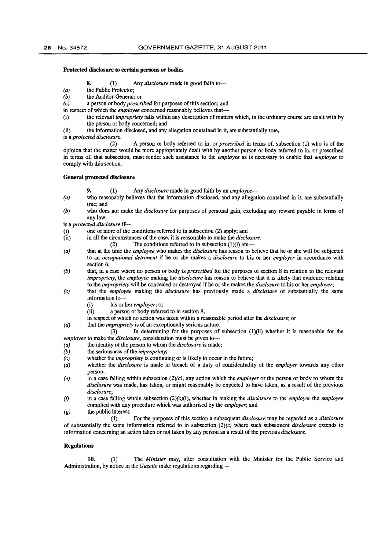#### **Protected disclosure to certain persons or bodies**

**8.** (1) Any *disclosure* made in good faith to--

- (a) the Public Protector;
- (b) the Auditor-General; or<br>  $(c)$  a person or body *preser.*
- *(c)* a person or body *prescribed* for purposes of this section; and
- in respect of which the *employee* concerned reasonably believes that-
- (i) the relevant *impropriety* falls within any description of matters which, in the ordinary course are dealt with by the person or body concerned; and
- (ii) the information disclosed, and any allegation contained in it, are substantially true,

is a *protected disclosure.* 

(2) A person or body referred to in, or *prescribed* in terms of, subsection (1) who is of the opinion that the matter would be more appropriately dealt with by another person or body referred to in, or prescribed in terms of, that subsection, must render such assistance to the *employee* as is necessary to enable that *employee* to comply with this section.

#### **General protected disclosure**

**9.** (1) Any *disclosure* made in good faith by an *employee-*

- *(a)* who reasonably believes that the information disclosed, and any allegation contained in it, are substantially true; and
- *(b)* who does not make the *disclosure* for purposes of personal gain, excluding any reward payable in terms of any law;

is a *protected disclosure* if-

- one or more of the conditions referred to in subsection (2) apply; and
- (ii) in all the circumstances of the case, it is reasonable to make the *disclosure.* 
	- (2) The conditions referred to in subsection  $(1)(i)$  are-
- *(a)* that at the time the *employee* who makes the *disclosure* has reason to believe that he or she will be subjected to an *occupational detriment* if he or she makes a *disclosure* to his or her *employer* in accordance with section 6;
- *(b)* that, in a case where no person or body is *prescribed* for the purposes of section 8 in relation to the relevant *impropriety, the <i>employee* making the *disclosure* has reason to believe that it is likely that evidence relating to the *impropriety* will be concealed or destroyed if he or she makes the *disclosure* to his or her *employer;*
- *(c)* that the *employee* making the *disclosure* has previously made a *disclosure* of substantially the same information to--
	- (i) his or her *employer;* or
	- (ii) a person or body referred to in section 8,
	- in respect of which no action was taken within a reasonable period after the *disclosure;* or
- *(d)* that the *impropriety* is of an exceptionally serious nature.

(3) In determining for the purposes of subsection (1)(ii) whether it is reasonable for the *employee* to make the *disclosure,* consideration must be given to--

- *(a)* the identity of the person to whom the *disclosure* is made;
- *(b)* the seriousness of the *impropriety;*
- *(c)* whether the *impropriety* is continuing or is likely to occur in the future;
- *(d)* whether the *disclosure* is made in breach of a duty of confidentiality of the *employer* towards any other person;
- *(e)* in a case falling within subsection *(2)(c),* any action which the *employer* or the person or body to whom the *disclosure* was made, has taken, or might reasonably be expected to have taken, as a result of the previous *disclosure;*
- *(f)* in a case falling within subsection (2)(c)(i), whether in making the *disclosure* to the *employer* the *employee*  complied with any procedure which was authorised by the *employer;* and
- (g) the public interest.

(4) For the purposes of this section a subsequent *disclosure* may be regarded as a *disclosure*  of substantially the same information referred to in subsection *(2)(c)* where such subsequent *disclosure* extends to information concerning an action taken or not taken by any person as a result of the previous *disclosure.* 

#### **Regulations**

**10.** (1) The *Minister* may, after consultation with the Minister for the Public Service and Administration, by notice in the *Gazette* make regulations regarding-